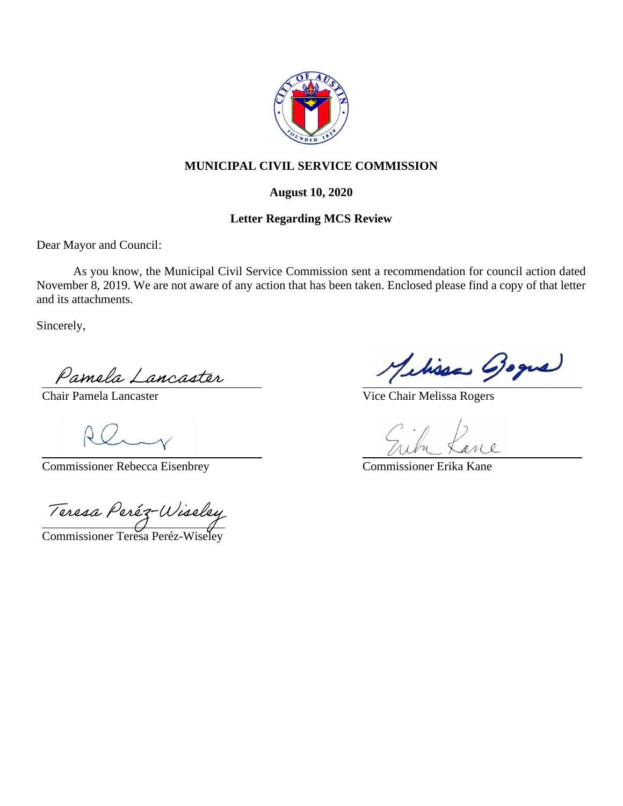

# **MUNICIPAL CIVIL SERVICE COMMISSION**

#### **August 10, 2020**

### **Letter Regarding MCS Review**

Dear Mayor and Council:

As you know, the Municipal Civil Service Commission sent a recommendation for council action dated November 8, 2019. We are not aware of any action that has been taken. Enclosed please find a copy of that letter and its attachments.

Sincerely,

Chair Pamela Lancaster

Commissioner Rebecca Eisenbrey

Pamela Lancaster<br>Chair Pamela Lancaster<br>Commissioner Rebecca Eisenbrey<br>Teresa Peréz-Wiseley

Commissioner Teresa Peréz-Wiseley

Melissa Boque

Vice Chair Melissa Rogers

Ne

Commissioner Erika Kane